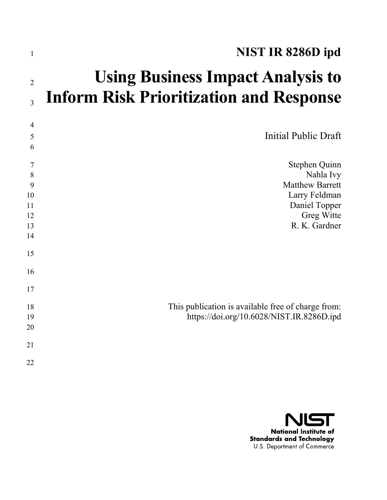| $\mathbf{1}$                              | NIST IR 8286D ipd                                                                                                     |
|-------------------------------------------|-----------------------------------------------------------------------------------------------------------------------|
| $\overline{2}$<br>3                       | <b>Using Business Impact Analysis to</b><br><b>Inform Risk Prioritization and Response</b>                            |
| $\overline{4}$<br>5<br>6                  | <b>Initial Public Draft</b>                                                                                           |
| 7<br>8<br>9<br>10<br>11<br>12<br>13<br>14 | Stephen Quinn<br>Nahla Ivy<br><b>Matthew Barrett</b><br>Larry Feldman<br>Daniel Topper<br>Greg Witte<br>R. K. Gardner |
| 15<br>16<br>17                            |                                                                                                                       |
| 18<br>19<br>20                            | This publication is available free of charge from:<br>https://doi.org/10.6028/NIST.IR.8286D.ipd                       |
| 21<br>22                                  |                                                                                                                       |

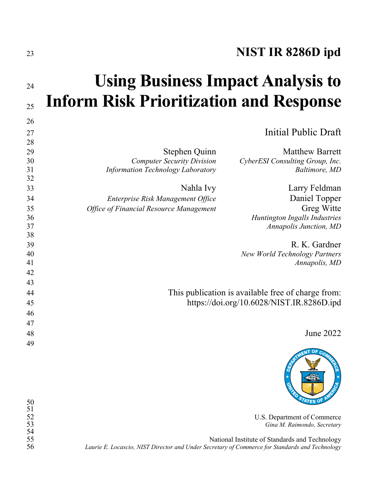# **NIST IR 8286D ipd**

# **Using Business Impact Analysis to Inform Risk Prioritization and Response**

|                                                                      | 26 |
|----------------------------------------------------------------------|----|
| Initial Public Draft                                                 | 27 |
|                                                                      | 28 |
| <b>Matthew Barrett</b><br>Stephen Quinn                              | 29 |
| <b>Computer Security Division</b><br>CyberESI Consulting Group, Inc. | 30 |
| Baltimore, MD<br><b>Information Technology Laboratory</b>            | 31 |
|                                                                      | 32 |
| Nahla Ivy<br>Larry Feldman                                           | 33 |
| Daniel Topper<br>Enterprise Risk Management Office                   | 34 |
| Greg Witte<br><b>Office of Financial Resource Management</b>         | 35 |
| Huntington Ingalls Industries                                        | 36 |
| <b>Annapolis Junction, MD</b>                                        | 37 |
|                                                                      | 38 |
| R. K. Gardner                                                        | 39 |
| <b>New World Technology Partners</b>                                 | 40 |
| Annapolis, MD                                                        | 41 |
|                                                                      | 42 |
|                                                                      | 43 |
| This publication is available free of charge from:                   | 44 |
| https://doi.org/10.6028/NIST.IR.8286D.ipd                            | 45 |
|                                                                      | 46 |
|                                                                      | 47 |
| June 2022                                                            | 48 |
|                                                                      | 49 |
|                                                                      |    |



U.S. Department of Commerce *Gina M. Raimondo, Secretary*

55<br>1956 *Laurie E. Locascio, NIST Director and Under Secretary of Commerce for Standards and Technology*<br>1967 *Laurie E. Locascio, NIST Director and Under Secretary of Commerce for Standards and Technology Laurie E. Locascio, NIST Director and Under Secretary of Commerce for Standards and Technology*

 

52<br>53<br>54<br>55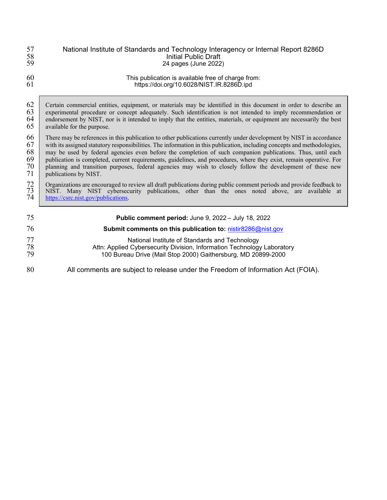| 57<br>58<br>59                   | National Institute of Standards and Technology Interagency or Internal Report 8286D<br><b>Initial Public Draft</b><br>24 pages (June 2022)                                                                                                                                                                                                                                                                                                                                                                                                                                                                                   |  |  |
|----------------------------------|------------------------------------------------------------------------------------------------------------------------------------------------------------------------------------------------------------------------------------------------------------------------------------------------------------------------------------------------------------------------------------------------------------------------------------------------------------------------------------------------------------------------------------------------------------------------------------------------------------------------------|--|--|
| 60<br>61                         | This publication is available free of charge from:<br>https://doi.org/10.6028/NIST.IR.8286D.ipd                                                                                                                                                                                                                                                                                                                                                                                                                                                                                                                              |  |  |
| 62<br>63<br>64<br>65             | Certain commercial entities, equipment, or materials may be identified in this document in order to describe an<br>experimental procedure or concept adequately. Such identification is not intended to imply recommendation or<br>endorsement by NIST, nor is it intended to imply that the entities, materials, or equipment are necessarily the best<br>available for the purpose.                                                                                                                                                                                                                                        |  |  |
| 66<br>67<br>68<br>69<br>70<br>71 | There may be references in this publication to other publications currently under development by NIST in accordance<br>with its assigned statutory responsibilities. The information in this publication, including concepts and methodologies,<br>may be used by federal agencies even before the completion of such companion publications. Thus, until each<br>publication is completed, current requirements, guidelines, and procedures, where they exist, remain operative. For<br>planning and transition purposes, federal agencies may wish to closely follow the development of these new<br>publications by NIST. |  |  |
| 72<br>73<br>74                   | Organizations are encouraged to review all draft publications during public comment periods and provide feedback to<br>NIST. Many NIST cybersecurity publications, other than the ones noted above, are available at<br>https://csrc.nist.gov/publications.                                                                                                                                                                                                                                                                                                                                                                  |  |  |
| 75                               | Public comment period: June 9, 2022 - July 18, 2022                                                                                                                                                                                                                                                                                                                                                                                                                                                                                                                                                                          |  |  |
| 76                               | Submit comments on this publication to: nistir8286@nist.gov                                                                                                                                                                                                                                                                                                                                                                                                                                                                                                                                                                  |  |  |
| 77<br>78<br>79                   | National Institute of Standards and Technology<br>Attn: Applied Cybersecurity Division, Information Technology Laboratory<br>100 Bureau Drive (Mail Stop 2000) Gaithersburg, MD 20899-2000                                                                                                                                                                                                                                                                                                                                                                                                                                   |  |  |
| 80                               | All comments are subject to release under the Freedom of Information Act (FOIA).                                                                                                                                                                                                                                                                                                                                                                                                                                                                                                                                             |  |  |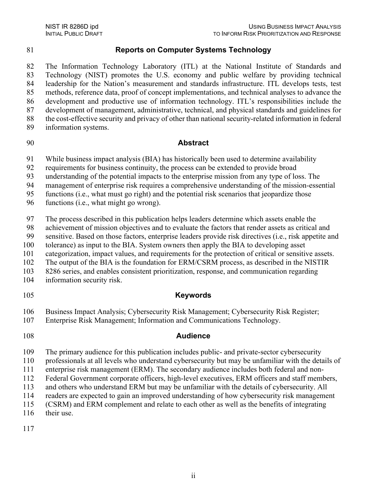### **Reports on Computer Systems Technology**

 The Information Technology Laboratory (ITL) at the National Institute of Standards and Technology (NIST) promotes the U.S. economy and public welfare by providing technical leadership for the Nation's measurement and standards infrastructure. ITL develops tests, test methods, reference data, proof of concept implementations, and technical analyses to advance the development and productive use of information technology. ITL's responsibilities include the development of management, administrative, technical, and physical standards and guidelines for the cost-effective security and privacy of other than national security-related information in federal information systems.

#### **Abstract**

While business impact analysis (BIA) has historically been used to determine availability

requirements for business continuity, the process can be extended to provide broad

understanding of the potential impacts to the enterprise mission from any type of loss. The

management of enterprise risk requires a comprehensive understanding of the mission-essential

functions (i.e., what must go right) and the potential risk scenarios that jeopardize those

functions (i.e., what might go wrong).

The process described in this publication helps leaders determine which assets enable the

achievement of mission objectives and to evaluate the factors that render assets as critical and

sensitive. Based on those factors, enterprise leaders provide risk directives (i.e., risk appetite and

tolerance) as input to the BIA. System owners then apply the BIA to developing asset

categorization, impact values, and requirements for the protection of critical or sensitive assets.

The output of the BIA is the foundation for ERM/CSRM process, as described in the NISTIR

8286 series, and enables consistent prioritization, response, and communication regarding

information security risk.

### **Keywords**

106 Business Impact Analysis; Cybersecurity Risk Management; Cybersecurity Risk Register;<br>107 Enterprise Risk Management: Information and Communications Technology.

Enterprise Risk Management; Information and Communications Technology.

### **Audience**

The primary audience for this publication includes public- and private-sector cybersecurity

professionals at all levels who understand cybersecurity but may be unfamiliar with the details of

enterprise risk management (ERM). The secondary audience includes both federal and non-

Federal Government corporate officers, high-level executives, ERM officers and staff members,

and others who understand ERM but may be unfamiliar with the details of cybersecurity. All

readers are expected to gain an improved understanding of how cybersecurity risk management

(CSRM) and ERM complement and relate to each other as well as the benefits of integrating

116 their use.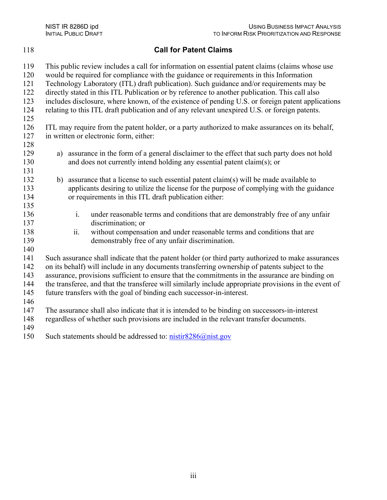118 **Call for Patent Claims** 119 This public review includes a call for information on essential patent claims (claims whose use 120 would be required for compliance with the guidance or requirements in this Information 121 Technology Laboratory (ITL) draft publication). Such guidance and/or requirements may be 122 directly stated in this ITL Publication or by reference to another publication. This call also 123 includes disclosure, where known, of the existence of pending U.S. or foreign patent applications 124 relating to this ITL draft publication and of any relevant unexpired U.S. or foreign patents. 125 126 ITL may require from the patent holder, or a party authorized to make assurances on its behalf, 127 in written or electronic form, either: 128 129 a) assurance in the form of a general disclaimer to the effect that such party does not hold 130 and does not currently intend holding any essential patent claim(s); or 131 132 b) assurance that a license to such essential patent claim(s) will be made available to 133 applicants desiring to utilize the license for the purpose of complying with the guidance 134 or requirements in this ITL draft publication either: 135 136 i. under reasonable terms and conditions that are demonstrably free of any unfair 137 discrimination; or 138 ii. without compensation and under reasonable terms and conditions that are 139 demonstrably free of any unfair discrimination. 140 141 Such assurance shall indicate that the patent holder (or third party authorized to make assurances 142 on its behalf) will include in any documents transferring ownership of patents subject to the 143 assurance, provisions sufficient to ensure that the commitments in the assurance are binding on 144 the transferee, and that the transferee will similarly include appropriate provisions in the event of 145 future transfers with the goal of binding each successor-in-interest. 146

147 The assurance shall also indicate that it is intended to be binding on successors-in-interest 148 regardless of whether such provisions are included in the relevant transfer documents.

149

150 Such statements should be addressed to: [nistir8286@nist.gov](https://palydin-my.sharepoint.com/personal/greg_palydin_com/Documents/NIST/ERM/BIA/nistir8286@nist.gov)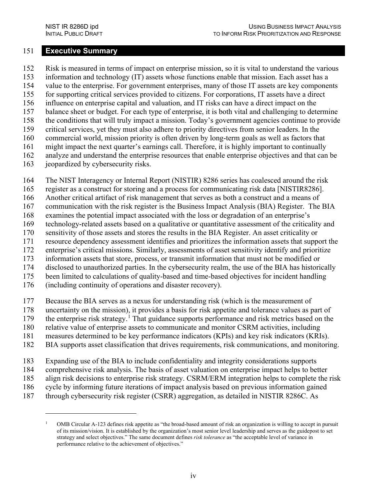#### <span id="page-5-1"></span>151 **Executive Summary**

152 Risk is measured in terms of impact on enterprise mission, so it is vital to understand the various 153 information and technology (IT) assets whose functions enable that mission. Each asset has a 154 value to the enterprise. For government enterprises, many of those IT assets are key components 155 for supporting critical services provided to citizens. For corporations, IT assets have a direct 156 influence on enterprise capital and valuation, and IT risks can have a direct impact on the 157 balance sheet or budget. For each type of enterprise, it is both vital and challenging to determine 158 the conditions that will truly impact a mission. Today's government agencies continue to provide 159 critical services, yet they must also adhere to priority directives from senior leaders. In the 160 commercial world, mission priority is often driven by long-term goals as well as factors that 161 might impact the next quarter's earnings call. Therefore, it is highly important to continually 162 analyze and understand the enterprise resources that enable enterprise objectives and that can be 163 jeopardized by cybersecurity risks.

164 The NIST Interagency or Internal Report (NISTIR) 8286 series has coalesced around the risk

165 register as a construct for storing and a process for communicating risk data [\[NISTIR8286\].](#page-22-0)

166 Another critical artifact of risk management that serves as both a construct and a means of

167 communication with the risk register is the Business Impact Analysis (BIA) Register. The BIA

168 examines the potential impact associated with the loss or degradation of an enterprise's

169 technology-related assets based on a qualitative or quantitative assessment of the criticality and

170 sensitivity of those assets and stores the results in the BIA Register. An asset criticality or

171 resource dependency assessment identifies and prioritizes the information assets that support the

172 enterprise's critical missions. Similarly, assessments of asset sensitivity identify and prioritize 173 information assets that store, process, or transmit information that must not be modified or

174 disclosed to unauthorized parties. In the cybersecurity realm, the use of the BIA has historically

175 been limited to calculations of quality-based and time-based objectives for incident handling

176 (including continuity of operations and disaster recovery).

177 Because the BIA serves as a nexus for understanding risk (which is the measurement of

178 uncertainty on the mission), it provides a basis for risk appetite and tolerance values as part of

179 the enterprise risk strategy.<sup>1</sup> That guidance supports performance and risk metrics based on the

180 relative value of enterprise assets to communicate and monitor CSRM activities, including

181 measures determined to be key performance indicators (KPIs) and key risk indicators (KRIs).

182 BIA supports asset classification that drives requirements, risk communications, and monitoring.

183 Expanding use of the BIA to include confidentiality and integrity considerations supports

184 comprehensive risk analysis. The basis of asset valuation on enterprise impact helps to better

185 align risk decisions to enterprise risk strategy. CSRM/ERM integration helps to complete the risk

186 cycle by informing future iterations of impact analysis based on previous information gained

<span id="page-5-0"></span>187 through cybersecurity risk register (CSRR) aggregation, as detailed in NISTIR 8286C. As

<sup>1</sup> OMB Circular A-123 defines risk appetite as "the broad-based amount of risk an organization is willing to accept in pursuit of its mission/vision. It is established by the organization's most senior level leadership and serves as the guidepost to set strategy and select objectives." The same document defines *risk tolerance* as "the acceptable level of variance in performance relative to the achievement of objectives."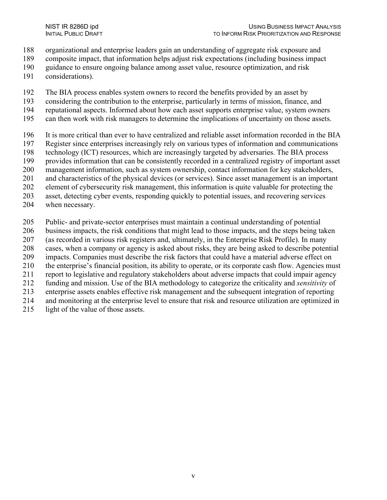- organizational and enterprise leaders gain an understanding of aggregate risk exposure and
- composite impact, that information helps adjust risk expectations (including business impact
- guidance to ensure ongoing balance among asset value, resource optimization, and risk
- considerations).
- The BIA process enables system owners to record the benefits provided by an asset by
- considering the contribution to the enterprise, particularly in terms of mission, finance, and
- reputational aspects. Informed about how each asset supports enterprise value, system owners
- can then work with risk managers to determine the implications of uncertainty on those assets.
- It is more critical than ever to have centralized and reliable asset information recorded in the BIA
- Register since enterprises increasingly rely on various types of information and communications
- 198 technology (ICT) resources, which are increasingly targeted by adversaries. The BIA process<br>199 provides information that can be consistently recorded in a centralized registry of important as
- provides information that can be consistently recorded in a centralized registry of important asset
- management information, such as system ownership, contact information for key stakeholders,
- and characteristics of the physical devices (or services). Since asset management is an important
- element of cybersecurity risk management, this information is quite valuable for protecting the
- asset, detecting cyber events, responding quickly to potential issues, and recovering services
- when necessary.
- Public- and private-sector enterprises must maintain a continual understanding of potential
- business impacts, the risk conditions that might lead to those impacts, and the steps being taken
- (as recorded in various risk registers and, ultimately, in the Enterprise Risk Profile). In many
- cases, when a company or agency is asked about risks, they are being asked to describe potential
- impacts. Companies must describe the risk factors that could have a material adverse effect on
- the enterprise's financial position, its ability to operate, or its corporate cash flow. Agencies must
- report to legislative and regulatory stakeholders about adverse impacts that could impair agency
- funding and mission. Use of the BIA methodology to categorize the criticality and *sensitivity* of
- enterprise assets enables effective risk management and the subsequent integration of reporting
- and monitoring at the enterprise level to ensure that risk and resource utilization are optimized in
- 215 light of the value of those assets.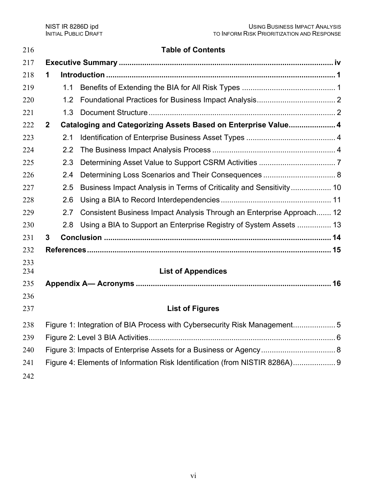| 216      |                                                                                |                  | <b>Table of Contents</b>                                              |  |
|----------|--------------------------------------------------------------------------------|------------------|-----------------------------------------------------------------------|--|
| 217      |                                                                                |                  |                                                                       |  |
| 218<br>1 |                                                                                |                  |                                                                       |  |
| 219      |                                                                                | 1.1              |                                                                       |  |
| 220      |                                                                                | 1.2 <sub>2</sub> |                                                                       |  |
| 221      |                                                                                | 1.3              |                                                                       |  |
| 222      | Cataloging and Categorizing Assets Based on Enterprise Value 4<br>$\mathbf{2}$ |                  |                                                                       |  |
| 223      |                                                                                | 2.1              |                                                                       |  |
| 224      |                                                                                | 2.2              |                                                                       |  |
| 225      |                                                                                | 2.3              |                                                                       |  |
| 226      |                                                                                | 2.4              | Determining Loss Scenarios and Their Consequences  8                  |  |
| 227      |                                                                                | 2.5              | Business Impact Analysis in Terms of Criticality and Sensitivity 10   |  |
| 228      |                                                                                | 2.6              |                                                                       |  |
| 229      |                                                                                | 2.7              | Consistent Business Impact Analysis Through an Enterprise Approach 12 |  |
| 230      |                                                                                | 2.8              | Using a BIA to Support an Enterprise Registry of System Assets  13    |  |
| 231      | 3                                                                              |                  |                                                                       |  |
| 232      |                                                                                |                  |                                                                       |  |
| 233      |                                                                                |                  |                                                                       |  |
| 234      |                                                                                |                  | <b>List of Appendices</b>                                             |  |
| 235      |                                                                                |                  |                                                                       |  |
| 236      |                                                                                |                  |                                                                       |  |
| 237      |                                                                                |                  | <b>List of Figures</b>                                                |  |
| 238      | Figure 1: Integration of BIA Process with Cybersecurity Risk Management5       |                  |                                                                       |  |
| 239      |                                                                                |                  |                                                                       |  |
| 240      |                                                                                |                  |                                                                       |  |
| 241      | Figure 4: Elements of Information Risk Identification (from NISTIR 8286A) 9    |                  |                                                                       |  |
| 242      |                                                                                |                  |                                                                       |  |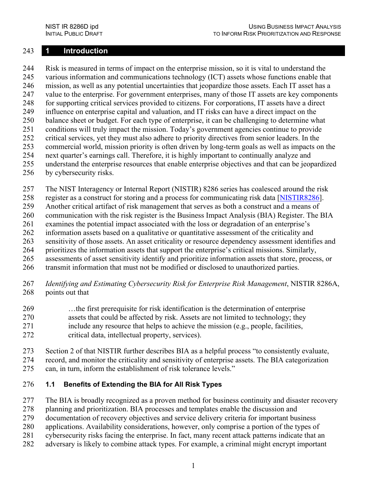#### <span id="page-8-0"></span>243 **1 Introduction**

244 Risk is measured in terms of impact on the enterprise mission, so it is vital to understand the 245 various information and communications technology (ICT) assets whose functions enable that 246 mission, as well as any potential uncertainties that jeopardize those assets. Each IT asset has a 247 value to the enterprise. For government enterprises, many of those IT assets are key components 248 for supporting critical services provided to citizens. For corporations, IT assets have a direct 249 influence on enterprise capital and valuation, and IT risks can have a direct impact on the 250 balance sheet or budget. For each type of enterprise, it can be challenging to determine what 251 conditions will truly impact the mission. Today's government agencies continue to provide 252 critical services, yet they must also adhere to priority directives from senior leaders. In the 253 commercial world, mission priority is often driven by long-term goals as well as impacts on the 254 next quarter's earnings call. Therefore, it is highly important to continually analyze and 255 understand the enterprise resources that enable enterprise objectives and that can be jeopardized 256 by cybersecurity risks.

- 257 The NIST Interagency or Internal Report (NISTIR) 8286 series has coalesced around the risk
- 258 register as a construct for storing and a process for communicating risk data [\[NISTIR8286\]](#page-22-0).
- 259 Another critical artifact of risk management that serves as both a construct and a means of
- 260 communication with the risk register is the Business Impact Analysis (BIA) Register. The BIA
- 261 examines the potential impact associated with the loss or degradation of an enterprise's
- 262 information assets based on a qualitative or quantitative assessment of the criticality and
- 263 sensitivity of those assets. An asset criticality or resource dependency assessment identifies and
- 264 prioritizes the information assets that support the enterprise's critical missions. Similarly,
- 265 assessments of asset sensitivity identify and prioritize information assets that store, process, or 266 transmit information that must not be modified or disclosed to unauthorized parties.
- 267 *Identifying and Estimating Cybersecurity Risk for Enterprise Risk Management*, NISTIR 8286A, 268 points out that
- 269 …the first prerequisite for risk identification is the determination of enterprise 270 assets that could be affected by risk. Assets are not limited to technology; they 271 include any resource that helps to achieve the mission (e.g., people, facilities, 272 critical data, intellectual property, services).
- 273 Section 2 of that NISTIR further describes BIA as a helpful process "to consistently evaluate,
- 274 record, and monitor the criticality and sensitivity of enterprise assets. The BIA categorization 275 can, in turn, inform the establishment of risk tolerance levels."

#### <span id="page-8-1"></span>276 **1.1 Benefits of Extending the BIA for All Risk Types**

277 The BIA is broadly recognized as a proven method for business continuity and disaster recovery

- 278 planning and prioritization. BIA processes and templates enable the discussion and
- 279 documentation of recovery objectives and service delivery criteria for important business
- 280 applications. Availability considerations, however, only comprise a portion of the types of
- 281 cybersecurity risks facing the enterprise. In fact, many recent attack patterns indicate that an
- 282 adversary is likely to combine attack types. For example, a criminal might encrypt important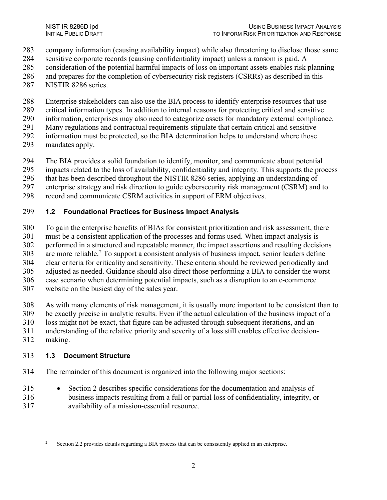- company information (causing availability impact) while also threatening to disclose those same
- sensitive corporate records (causing confidentiality impact) unless a ransom is paid. A
- consideration of the potential harmful impacts of loss on important assets enables risk planning
- and prepares for the completion of cybersecurity risk registers (CSRRs) as described in this
- NISTIR 8286 series.
- Enterprise stakeholders can also use the BIA process to identify enterprise resources that use
- critical information types. In addition to internal reasons for protecting critical and sensitive
- information, enterprises may also need to categorize assets for mandatory external compliance.
- Many regulations and contractual requirements stipulate that certain critical and sensitive
- information must be protected, so the BIA determination helps to understand where those
- mandates apply.
- The BIA provides a solid foundation to identify, monitor, and communicate about potential
- impacts related to the loss of availability, confidentiality and integrity. This supports the process
- that has been described throughout the NISTIR 8286 series, applying an understanding of
- enterprise strategy and risk direction to guide cybersecurity risk management (CSRM) and to
- record and communicate CSRM activities in support of ERM objectives.

#### <span id="page-9-0"></span>**1.2 Foundational Practices for Business Impact Analysis**

- To gain the enterprise benefits of BIAs for consistent prioritization and risk assessment, there
- must be a consistent application of the processes and forms used. When impact analysis is
- performed in a structured and repeatable manner, the impact assertions and resulting decisions
- are more reliable.<sup>[2](#page-9-2)</sup> To support a consistent analysis of business impact, senior leaders define
- clear criteria for criticality and sensitivity. These criteria should be reviewed periodically and
- adjusted as needed. Guidance should also direct those performing a BIA to consider the worst-
- case scenario when determining potential impacts, such as a disruption to an e-commerce
- website on the busiest day of the sales year.
- As with many elements of risk management, it is usually more important to be consistent than to
- be exactly precise in analytic results. Even if the actual calculation of the business impact of a
- loss might not be exact, that figure can be adjusted through subsequent iterations, and an
- understanding of the relative priority and severity of a loss still enables effective decision-
- making.

# <span id="page-9-1"></span>**1.3 Document Structure**

- The remainder of this document is organized into the following major sections:
- Section 2 describes specific considerations for the documentation and analysis of business impacts resulting from a full or partial loss of confidentiality, integrity, or
- <span id="page-9-2"></span>availability of a mission-essential resource.

<sup>&</sup>lt;sup>2</sup> Section 2.2 provides details regarding a BIA process that can be consistently applied in an enterprise.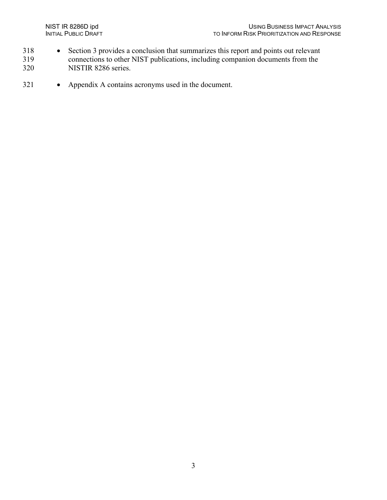- 318 Section 3 provides a conclusion that summarizes this report and points out relevant
- 319 connections to other NIST publications, including companion documents from the<br>320 NISTIR 8286 series. NISTIR 8286 series.
- 321 Appendix A contains acronyms used in the document.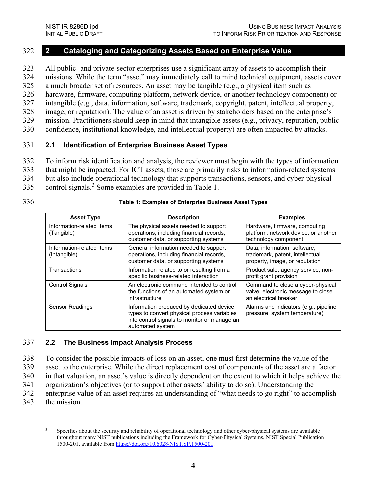#### <span id="page-11-0"></span>322 **2 Cataloging and Categorizing Assets Based on Enterprise Value**

323 All public- and private-sector enterprises use a significant array of assets to accomplish their 324 missions. While the term "asset" may immediately call to mind technical equipment, assets cover 325 a much broader set of resources. An asset may be tangible (e.g., a physical item such as

326 hardware, firmware, computing platform, network device, or another technology component) or

327 intangible (e.g., data, information, software, trademark, copyright, patent, intellectual property,

328 image, or reputation). The value of an asset is driven by stakeholders based on the enterprise's

329 mission. Practitioners should keep in mind that intangible assets (e.g., privacy, reputation, public

330 confidence, institutional knowledge, and intellectual property) are often impacted by attacks.

#### <span id="page-11-1"></span>331 **2.1 Identification of Enterprise Business Asset Types**

332 To inform risk identification and analysis, the reviewer must begin with the types of information

333 that might be impacted. For ICT assets, those are primarily risks to information-related systems

334 but also include operational technology that supports transactions, sensors, and cyber-physical

[3](#page-11-4)35 control signals.<sup>3</sup> Some examples are provided in [Table 1.](#page-11-3)

#### 336 **Table 1: Examples of Enterprise Business Asset Types**

<span id="page-11-3"></span>

| <b>Asset Type</b>                         | <b>Description</b>                                                                                                                                          | <b>Examples</b>                                                                                   |  |
|-------------------------------------------|-------------------------------------------------------------------------------------------------------------------------------------------------------------|---------------------------------------------------------------------------------------------------|--|
| Information-related Items<br>(Tangible)   | The physical assets needed to support<br>operations, including financial records,<br>customer data, or supporting systems                                   | Hardware, firmware, computing<br>platform, network device, or another<br>technology component     |  |
| Information-related Items<br>(Intangible) | General information needed to support<br>operations, including financial records,<br>customer data, or supporting systems                                   | Data, information, software,<br>trademark, patent, intellectual<br>property, image, or reputation |  |
| Transactions                              | Information related to or resulting from a<br>specific business-related interaction                                                                         | Product sale, agency service, non-<br>profit grant provision                                      |  |
| <b>Control Signals</b>                    | An electronic command intended to control<br>the functions of an automated system or<br>infrastructure                                                      | Command to close a cyber-physical<br>valve, electronic message to close<br>an electrical breaker  |  |
| <b>Sensor Readings</b>                    | Information produced by dedicated device<br>types to convert physical process variables<br>into control signals to monitor or manage an<br>automated system | Alarms and indicators (e.g., pipeline<br>pressure, system temperature)                            |  |

#### <span id="page-11-2"></span>337 **2.2 The Business Impact Analysis Process**

338 To consider the possible impacts of loss on an asset, one must first determine the value of the

339 asset to the enterprise. While the direct replacement cost of components of the asset are a factor

340 in that valuation, an asset's value is directly dependent on the extent to which it helps achieve the

341 organization's objectives (or to support other assets' ability to do so). Understanding the

342 enterprise value of an asset requires an understanding of "what needs to go right" to accomplish

<span id="page-11-4"></span>343 the mission.

<sup>3</sup> Specifics about the security and reliability of operational technology and other cyber-physical systems are available throughout many NIST publications including the Framework for Cyber-Physical Systems, NIST Special Publication 1500-201, available fro[m https://doi.org/10.6028/NIST.SP.1500-201.](https://doi.org/10.6028/NIST.SP.1500-201)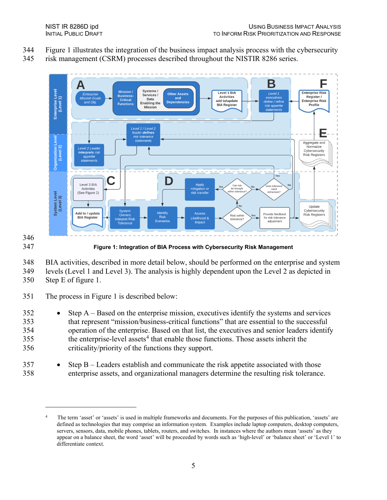- 344 [Figure 1](#page-12-0) illustrates the integration of the business impact analysis process with the cybersecurity
- 345 risk management (CSRM) processes described throughout the NISTIR 8286 series.



# 346

<span id="page-12-0"></span>347 **Figure 1: Integration of BIA Process with Cybersecurity Risk Management**

348 BIA activities, described in more detail below, should be performed on the enterprise and system 349 levels (Level 1 and Level 3). The analysis is highly dependent upon the Level 2 as depicted in

350 Step E of figure 1.

351 The process in [Figure 1](#page-12-0) is described below:

- 352 Step A Based on the enterprise mission, executives identify the systems and services 353 that represent "mission/business-critical functions" that are essential to the successful 354 operation of the enterprise. Based on that list, the executives and senior leaders identify  $355$  the enterprise-level assets<sup>[4](#page-12-1)</sup> that enable those functions. Those assets inherit the 356 criticality/priority of the functions they support.
- 357 Step B Leaders establish and communicate the risk appetite associated with those 358 enterprise assets, and organizational managers determine the resulting risk tolerance.

<span id="page-12-1"></span>The term 'asset' or 'assets' is used in multiple frameworks and documents. For the purposes of this publication, 'assets' are defined as technologies that may comprise an information system. Examples include laptop computers, desktop computers, servers, sensors, data, mobile phones, tablets, routers, and switches. In instances where the authors mean 'assets' as they appear on a balance sheet, the word 'asset' will be proceeded by words such as 'high-level' or 'balance sheet' or 'Level 1' to differentiate context.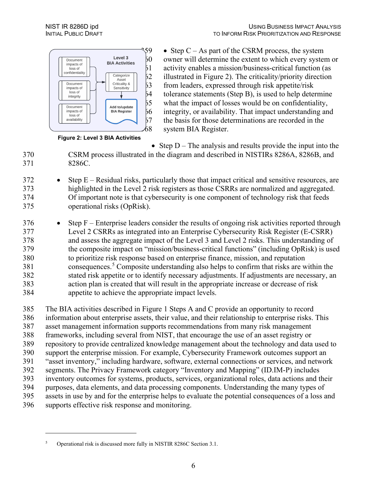

<span id="page-13-0"></span>**Figure 2: Level 3 BIA Activities**

 $59 \rightarrow$  Step C – As part of the CSRM process, the system owner will determine the extent to which every system or activity enables a mission/business-critical function (as illustrated in [Figure 2\)](#page-13-0). The criticality/priority direction<br> $53$  from leaders, expressed through risk appetite/risk 53 from leaders, expressed through risk appetite/risk<br>54 tolerance statements (Step B), is used to help deter- tolerance statements (Step B), is used to help determine<br> $55$  what the impact of losses would be on confidentiality, what the impact of losses would be on confidentiality, integrity, or availability. That impact understanding an integrity, or availability. That impact understanding and<br> $57$  the basis for those determinations are recorded in the the basis for those determinations are recorded in the system BIA Register.

• Step  $D$  – The analysis and results provide the input into the CSRM process illustrated in the diagram and described in NISTIRs 8286A, 8286B, and 8286C.

- Step E Residual risks, particularly those that impact critical and sensitive resources, are highlighted in the Level 2 risk registers as those CSRRs are normalized and aggregated. Of important note is that cybersecurity is one component of technology risk that feeds operational risks (OpRisk).
- 376 Step F Enterprise leaders consider the results of ongoing risk activities reported through Level 2 CSRRs as integrated into an Enterprise Cybersecurity Risk Register (E-CSRR) and assess the aggregate impact of the Level 3 and Level 2 risks. This understanding of the composite impact on "mission/business-critical functions" (including OpRisk) is used to prioritize risk response based on enterprise finance, mission, and reputation consequences.<sup>[5](#page-13-1)</sup> Composite understanding also helps to confirm that risks are within the stated risk appetite or to identify necessary adjustments. If adjustments are necessary, an action plan is created that will result in the appropriate increase or decrease of risk appetite to achieve the appropriate impact levels.

 The BIA activities described in [Figure 1](#page-12-0) Steps A and C provide an opportunity to record information about enterprise assets, their value, and their relationship to enterprise risks. This asset management information supports recommendations from many risk management frameworks, including several from NIST, that encourage the use of an asset registry or repository to provide centralized knowledge management about the technology and data used to support the enterprise mission. For example, Cybersecurity Framework outcomes support an "asset inventory," including hardware, software, external connections or services, and network segments. The Privacy Framework category "Inventory and Mapping" (ID.IM-P) includes inventory outcomes for systems, products, services, organizational roles, data actions and their purposes, data elements, and data processing components. Understanding the many types of assets in use by and for the enterprise helps to evaluate the potential consequences of a loss and supports effective risk response and monitoring.

<span id="page-13-1"></span>Operational risk is discussed more fully in NISTIR 8286C Section 3.1.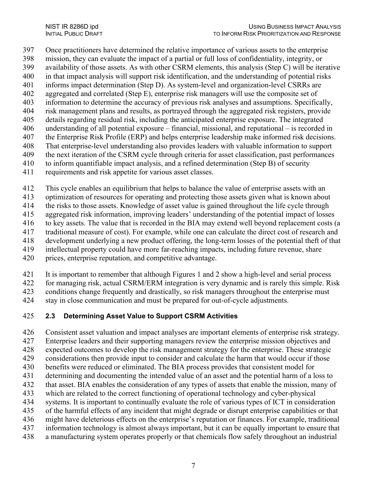Once practitioners have determined the relative importance of various assets to the enterprise

- 398 mission, they can evaluate the impact of a partial or full loss of confidentiality, integrity, or<br>399 availability of those assets. As with other CSRM elements, this analysis (Step C) will be iter
- availability of those assets. As with other CSRM elements, this analysis (Step C) will be iterative
- in that impact analysis will support risk identification, and the understanding of potential risks
- informs impact determination (Step D). As system-level and organization-level CSRRs are
- aggregated and correlated (Step E), enterprise risk managers will use the composite set of information to determine the accuracy of previous risk analyses and assumptions. Specifically,
- risk management plans and results, as portrayed through the aggregated risk registers, provide
- details regarding residual risk, including the anticipated enterprise exposure. The integrated
- understanding of all potential exposure financial, missional, and reputational is recorded in
- the Enterprise Risk Profile (ERP) and helps enterprise leadership make informed risk decisions.
- That enterprise-level understanding also provides leaders with valuable information to support
- the next iteration of the CSRM cycle through criteria for asset classification, past performances
- to inform quantifiable impact analysis, and a refined determination (Step B) of security
- requirements and risk appetite for various asset classes.
- This cycle enables an equilibrium that helps to balance the value of enterprise assets with an
- optimization of resources for operating and protecting those assets given what is known about
- the risks to those assets. Knowledge of asset value is gained throughout the life cycle through
- aggregated risk information, improving leaders' understanding of the potential impact of losses
- to key assets. The value that is recorded in the BIA may extend well beyond replacement costs (a
- traditional measure of cost). For example, while one can calculate the direct cost of research and
- development underlying a new product offering, the long-term losses of the potential theft of that
- intellectual property could have more far-reaching impacts, including future revenue, share
- prices, enterprise reputation, and competitive advantage.
- It is important to remember that although Figures 1 and 2 show a high-level and serial process
- for managing risk, actual CSRM/ERM integration is very dynamic and is rarely this simple. Risk
- conditions change frequently and drastically, so risk managers throughout the enterprise must
- stay in close communication and must be prepared for out-of-cycle adjustments.

# <span id="page-14-0"></span>**2.3 Determining Asset Value to Support CSRM Activities**

- Consistent asset valuation and impact analyses are important elements of enterprise risk strategy.
- Enterprise leaders and their supporting managers review the enterprise mission objectives and
- expected outcomes to develop the risk management strategy for the enterprise. These strategic
- considerations then provide input to consider and calculate the harm that would occur if those
- benefits were reduced or eliminated. The BIA process provides that consistent model for
- determining and documenting the intended value of an asset and the potential harm of a loss to
- that asset. BIA enables the consideration of any types of assets that enable the mission, many of
- which are related to the correct functioning of operational technology and cyber-physical
- systems. It is important to continually evaluate the role of various types of ICT in consideration
- of the harmful effects of any incident that might degrade or disrupt enterprise capabilities or that
- might have deleterious effects on the enterprise's reputation or finances. For example, traditional information technology is almost always important, but it can be equally important to ensure that
- a manufacturing system operates properly or that chemicals flow safely throughout an industrial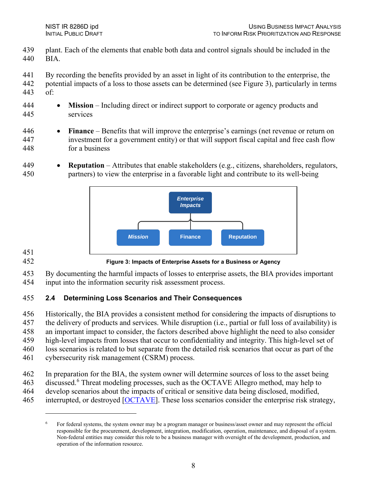- 439 plant. Each of the elements that enable both data and control signals should be included in the 440 BIA.
- 441 By recording the benefits provided by an asset in light of its contribution to the enterprise, the
- 442 potential impacts of a loss to those assets can be determined (see [Figure 3\)](#page-15-1), particularly in terms of: 443
- 444 **Mission** Including direct or indirect support to corporate or agency products and 445 services

#### 446 • **Finance** – Benefits that will improve the enterprise's earnings (net revenue or return on 447 investment for a government entity) or that will support fiscal capital and free cash flow 448 for a business

449 • **Reputation** – Attributes that enable stakeholders (e.g., citizens, shareholders, regulators, 450 partners) to view the enterprise in a favorable light and contribute to its well-being



451

<span id="page-15-1"></span>452 **Figure 3: Impacts of Enterprise Assets for a Business or Agency**

453 By documenting the harmful impacts of losses to enterprise assets, the BIA provides important 454 input into the information security risk assessment process.

### <span id="page-15-0"></span>455 **2.4 Determining Loss Scenarios and Their Consequences**

456 Historically, the BIA provides a consistent method for considering the impacts of disruptions to 457 the delivery of products and services. While disruption (i.e., partial or full loss of availability) is 458 an important impact to consider, the factors described above highlight the need to also consider 459 high-level impacts from losses that occur to confidentiality and integrity. This high-level set of 460 loss scenarios is related to but separate from the detailed risk scenarios that occur as part of the 461 cybersecurity risk management (CSRM) process.

- 
- 462 In preparation for the BIA, the system owner will determine sources of loss to the asset being
- 4[6](#page-15-2)3 discussed.<sup>6</sup> Threat modeling processes, such as the OCTAVE Allegro method, may help to
- 464 develop scenarios about the impacts of critical or sensitive data being disclosed, modified,
- <span id="page-15-2"></span>465 interrupted, or destroyed [\[OCTAVE\]](#page-22-2). These loss scenarios consider the enterprise risk strategy,

<sup>6</sup> For federal systems, the system owner may be a program manager or business/asset owner and may represent the official responsible for the procurement, development, integration, modification, operation, maintenance, and disposal of a system. Non-federal entities may consider this role to be a business manager with oversight of the development, production, and operation of the information resource.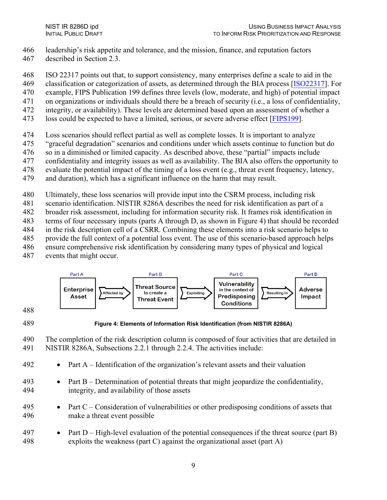- 466 leadership's risk appetite and tolerance, and the mission, finance, and reputation factors
- 467 described in Section 2.3.
- 468 ISO 22317 points out that, to support consistency, many enterprises define a scale to aid in the
- 469 classification or categorization of assets, as determined through the BIA process [\[ISO22317\]](#page-22-3). For
- 470 example, FIPS Publication 199 defines three levels (low, moderate, and high) of potential impact
- 471 on organizations or individuals should there be a breach of security (i.e., a loss of confidentiality,
- 472 integrity, or availability). These levels are determined based upon an assessment of whether a
- 473 loss could be expected to have a limited, serious, or severe adverse effect [[FIPS199\]](#page-22-4).
- 474 Loss scenarios should reflect partial as well as complete losses. It is important to analyze
- 475 "graceful degradation" scenarios and conditions under which assets continue to function but do
- 476 so in a diminished or limited capacity. As described above, these "partial" impacts include
- 477 confidentiality and integrity issues as well as availability. The BIA also offers the opportunity to
- 478 evaluate the potential impact of the timing of a loss event (e.g., threat event frequency, latency,
- 479 and duration), which has a significant influence on the harm that may result.
- 480 Ultimately, these loss scenarios will provide input into the CSRM process, including risk
- 481 scenario identification. NISTIR 8286A describes the need for risk identification as part of a
- 482 broader risk assessment, including for information security risk. It frames risk identification in
- 483 terms of four necessary inputs (parts A through D, as shown in [Figure 4\)](#page-16-0) that should be recorded
- 484 in the risk description cell of a CSRR. Combining these elements into a risk scenario helps to
- 485 provide the full context of a potential loss event. The use of this scenario-based approach helps
- 486 ensure comprehensive risk identification by considering many types of physical and logical
- 487 events that might occur.



- 488
- 

<span id="page-16-0"></span>489 **Figure 4: Elements of Information Risk Identification (from NISTIR 8286A)**

- 490 The completion of the risk description column is composed of four activities that are detailed in 491 NISTIR 8286A, Subsections 2.2.1 through 2.2.4. The activities include:
- 492 Part A Identification of the organization's relevant assets and their valuation
- 493 Part B Determination of potential threats that might jeopardize the confidentiality, 494 integrity, and availability of those assets
- 495 Part C Consideration of vulnerabilities or other predisposing conditions of assets that 496 make a threat event possible
- 497 Part D High-level evaluation of the potential consequences if the threat source (part B) 498 exploits the weakness (part C) against the organizational asset (part A)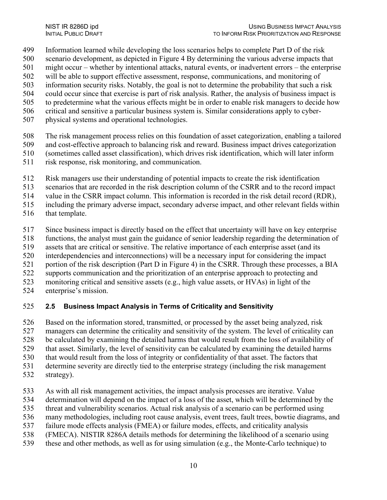- Information learned while developing the loss scenarios helps to complete Part D of the risk
- scenario development, as depicted in [Figure 4](#page-16-0) By determining the various adverse impacts that
- might occur whether by intentional attacks, natural events, or inadvertent errors the enterprise
- will be able to support effective assessment, response, communications, and monitoring of
- information security risks. Notably, the goal is not to determine the probability that such a risk
- could occur since that exercise is part of risk analysis. Rather, the analysis of business impact is
- to predetermine what the various effects might be in order to enable risk managers to decide how
- critical and sensitive a particular business system is. Similar considerations apply to cyber-
- physical systems and operational technologies.
- The risk management process relies on this foundation of asset categorization, enabling a tailored
- and cost-effective approach to balancing risk and reward. Business impact drives categorization
- (sometimes called asset classification), which drives risk identification, which will later inform
- risk response, risk monitoring, and communication.
- Risk managers use their understanding of potential impacts to create the risk identification
- scenarios that are recorded in the risk description column of the CSRR and to the record impact
- value in the CSRR impact column. This information is recorded in the risk detail record (RDR),
- including the primary adverse impact, secondary adverse impact, and other relevant fields within
- that template.
- Since business impact is directly based on the effect that uncertainty will have on key enterprise
- functions, the analyst must gain the guidance of senior leadership regarding the determination of
- assets that are critical or sensitive. The relative importance of each enterprise asset (and its
- interdependencies and interconnections) will be a necessary input for considering the impact
- 521 portion of the risk description (Part D in Figure 4) in the CSRR. Through these processes, a BIA
- supports communication and the prioritization of an enterprise approach to protecting and
- monitoring critical and sensitive assets (e.g., high value assets, or HVAs) in light of the
- enterprise's mission.

#### <span id="page-17-0"></span>**2.5 Business Impact Analysis in Terms of Criticality and Sensitivity**

- Based on the information stored, transmitted, or processed by the asset being analyzed, risk
- managers can determine the criticality and sensitivity of the system. The level of criticality can
- be calculated by examining the detailed harms that would result from the loss of availability of
- that asset. Similarly, the level of sensitivity can be calculated by examining the detailed harms
- that would result from the loss of integrity or confidentiality of that asset. The factors that
- determine severity are directly tied to the enterprise strategy (including the risk management
- strategy).
- As with all risk management activities, the impact analysis processes are iterative. Value
- determination will depend on the impact of a loss of the asset, which will be determined by the
- threat and vulnerability scenarios. Actual risk analysis of a scenario can be performed using
- many methodologies, including root cause analysis, event trees, fault trees, bowtie diagrams, and
- failure mode effects analysis (FMEA) or failure modes, effects, and criticality analysis
- (FMECA). NISTIR 8286A details methods for determining the likelihood of a scenario using
- these and other methods, as well as for using simulation (e.g., the Monte-Carlo technique) to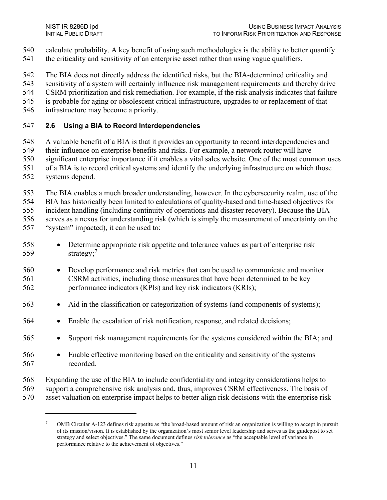- calculate probability. A key benefit of using such methodologies is the ability to better quantify
- 541 the criticality and sensitivity of an enterprise asset rather than using vague qualifiers.
- The BIA does not directly address the identified risks, but the BIA-determined criticality and
- sensitivity of a system will certainly influence risk management requirements and thereby drive
- CSRM prioritization and risk remediation. For example, if the risk analysis indicates that failure
- is probable for aging or obsolescent critical infrastructure, upgrades to or replacement of that
- infrastructure may become a priority.

#### <span id="page-18-0"></span>**2.6 Using a BIA to Record Interdependencies**

- A valuable benefit of a BIA is that it provides an opportunity to record interdependencies and
- their influence on enterprise benefits and risks. For example, a network router will have
- significant enterprise importance if it enables a vital sales website. One of the most common uses
- of a BIA is to record critical systems and identify the underlying infrastructure on which those
- systems depend.
- The BIA enables a much broader understanding, however. In the cybersecurity realm, use of the
- BIA has historically been limited to calculations of quality-based and time-based objectives for
- incident handling (including continuity of operations and disaster recovery). Because the BIA

serves as a nexus for understanding risk (which is simply the measurement of uncertainty on the

- "system" impacted), it can be used to:
- Determine appropriate risk appetite and tolerance values as part of enterprise risk 559  $strategy;7$  $strategy;7$
- Develop performance and risk metrics that can be used to communicate and monitor CSRM activities, including those measures that have been determined to be key performance indicators (KPIs) and key risk indicators (KRIs);
- Aid in the classification or categorization of systems (and components of systems);
- Enable the escalation of risk notification, response, and related decisions;
- Support risk management requirements for the systems considered within the BIA; and
- Enable effective monitoring based on the criticality and sensitivity of the systems recorded.
- Expanding the use of the BIA to include confidentiality and integrity considerations helps to
- support a comprehensive risk analysis and, thus, improves CSRM effectiveness. The basis of
- <span id="page-18-1"></span>asset valuation on enterprise impact helps to better align risk decisions with the enterprise risk

 OMB Circular A-123 defines risk appetite as "the broad-based amount of risk an organization is willing to accept in pursuit of its mission/vision. It is established by the organization's most senior level leadership and serves as the guidepost to set strategy and select objectives." The same document defines *risk tolerance* as "the acceptable level of variance in performance relative to the achievement of objectives."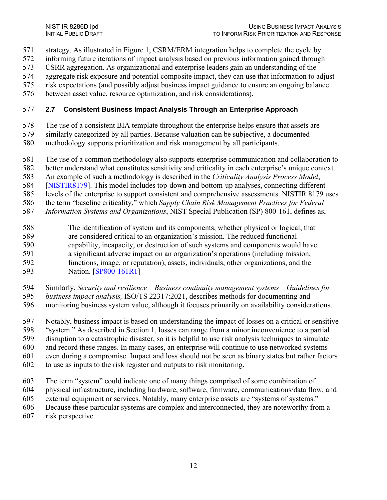- 571 strategy. As illustrated in [Figure 1,](#page-12-0) CSRM/ERM integration helps to complete the cycle by
- 572 informing future iterations of impact analysis based on previous information gained through
- 573 CSRR aggregation. As organizational and enterprise leaders gain an understanding of the
- 574 aggregate risk exposure and potential composite impact, they can use that information to adjust
- 575 risk expectations (and possibly adjust business impact guidance to ensure an ongoing balance
- 576 between asset value, resource optimization, and risk considerations).

#### <span id="page-19-0"></span>577 **2.7 Consistent Business Impact Analysis Through an Enterprise Approach**

- 578 The use of a consistent BIA template throughout the enterprise helps ensure that assets are
- 579 similarly categorized by all parties. Because valuation can be subjective, a documented
- 580 methodology supports prioritization and risk management by all participants.
- 581 The use of a common methodology also supports enterprise communication and collaboration to
- 582 better understand what constitutes sensitivity and criticality in each enterprise's unique context.
- 583 An example of such a methodology is described in the *Criticality Analysis Process Model*,
- 584 [\[NISTIR8179\]](#page-22-5). This model includes top-down and bottom-up analyses, connecting different
- 585 levels of the enterprise to support consistent and comprehensive assessments. NISTIR 8179 uses
- 586 the term "baseline criticality," which *Supply Chain Risk Management Practices for Federal*
- 587 *Information Systems and Organizations*, NIST Special Publication (SP) 800-161, defines as,
- 588 The identification of system and its components, whether physical or logical, that 589 are considered critical to an organization's mission. The reduced functional 590 capability, incapacity, or destruction of such systems and components would have 591 a significant adverse impact on an organization's operations (including mission, 592 functions, image, or reputation), assets, individuals, other organizations, and the 593 Nation. [\[SP800-161R1\]](#page-22-6)
- 594 Similarly, *Security and resilience Business continuity management systems Guidelines for*
- 595 *business impact analysis,* ISO/TS 22317:2021, describes methods for documenting and
- 596 monitoring business system value, although it focuses primarily on availability considerations.
- 597 Notably, business impact is based on understanding the impact of losses on a critical or sensitive
- 598 "system." As described in Section 1, losses can range from a minor inconvenience to a partial
- 599 disruption to a catastrophic disaster, so it is helpful to use risk analysis techniques to simulate
- 600 and record these ranges. In many cases, an enterprise will continue to use networked systems
- 601 even during a compromise. Impact and loss should not be seen as binary states but rather factors
- 602 to use as inputs to the risk register and outputs to risk monitoring.
- 603 The term "system" could indicate one of many things comprised of some combination of
- 604 physical infrastructure, including hardware, software, firmware, communications/data flow, and
- 605 external equipment or services. Notably, many enterprise assets are "systems of systems."
- 606 Because these particular systems are complex and interconnected, they are noteworthy from a
- 607 risk perspective.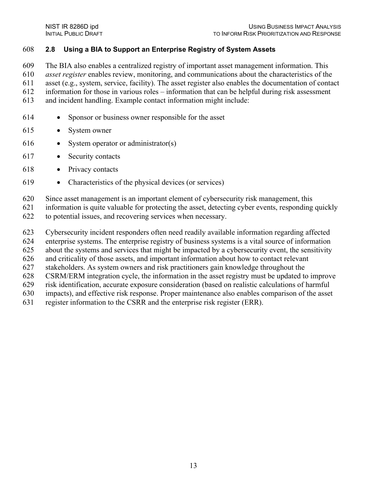#### <span id="page-20-0"></span>**2.8 Using a BIA to Support an Enterprise Registry of System Assets**

The BIA also enables a centralized registry of important asset management information. This

*asset register* enables review, monitoring, and communications about the characteristics of the

asset (e.g., system, service, facility). The asset register also enables the documentation of contact

information for those in various roles – information that can be helpful during risk assessment

- and incident handling. Example contact information might include:
- Sponsor or business owner responsible for the asset
- System owner
- System operator or administrator(s)
- Security contacts
- Privacy contacts
- Characteristics of the physical devices (or services)
- Since asset management is an important element of cybersecurity risk management, this
- information is quite valuable for protecting the asset, detecting cyber events, responding quickly
- to potential issues, and recovering services when necessary.
- Cybersecurity incident responders often need readily available information regarding affected
- enterprise systems. The enterprise registry of business systems is a vital source of information
- about the systems and services that might be impacted by a cybersecurity event, the sensitivity
- and criticality of those assets, and important information about how to contact relevant
- stakeholders. As system owners and risk practitioners gain knowledge throughout the
- CSRM/ERM integration cycle, the information in the asset registry must be updated to improve
- risk identification, accurate exposure consideration (based on realistic calculations of harmful
- impacts), and effective risk response. Proper maintenance also enables comparison of the asset
- register information to the CSRR and the enterprise risk register (ERR).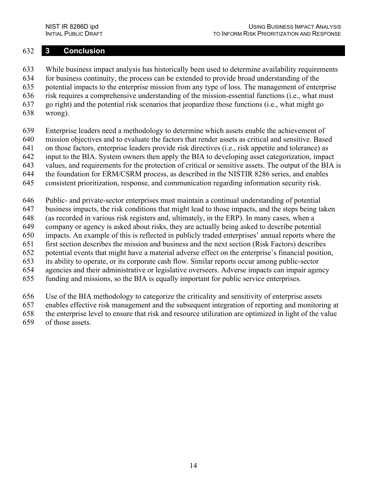#### <span id="page-21-0"></span>632 **3 Conclusion**

633 While business impact analysis has historically been used to determine availability requirements 634 for business continuity, the process can be extended to provide broad understanding of the 635 potential impacts to the enterprise mission from any type of loss. The management of enterprise 636 risk requires a comprehensive understanding of the mission-essential functions (i.e., what must 637 go right) and the potential risk scenarios that jeopardize those functions (i.e., what might go 638 wrong).

- 639 Enterprise leaders need a methodology to determine which assets enable the achievement of
- 640 mission objectives and to evaluate the factors that render assets as critical and sensitive. Based
- 641 on those factors, enterprise leaders provide risk directives (i.e., risk appetite and tolerance) as 642 input to the BIA. System owners then apply the BIA to developing asset categorization, impact
- 643 values, and requirements for the protection of critical or sensitive assets. The output of the BIA is
- 644 the foundation for ERM/CSRM process, as described in the NISTIR 8286 series, and enables
- 645 consistent prioritization, response, and communication regarding information security risk.
- 646 Public- and private-sector enterprises must maintain a continual understanding of potential
- 647 business impacts, the risk conditions that might lead to those impacts, and the steps being taken
- 648 (as recorded in various risk registers and, ultimately, in the ERP). In many cases, when a
- 649 company or agency is asked about risks, they are actually being asked to describe potential
- 650 impacts. An example of this is reflected in publicly traded enterprises' annual reports where the
- 651 first section describes the mission and business and the next section (Risk Factors) describes
- 652 potential events that might have a material adverse effect on the enterprise's financial position,
- 653 its ability to operate, or its corporate cash flow. Similar reports occur among public-sector
- 654 agencies and their administrative or legislative overseers. Adverse impacts can impair agency 655 funding and missions, so the BIA is equally important for public service enterprises.
- 
- 656 Use of the BIA methodology to categorize the criticality and sensitivity of enterprise assets
- 657 enables effective risk management and the subsequent integration of reporting and monitoring at
- 658 the enterprise level to ensure that risk and resource utilization are optimized in light of the value
- 659 of those assets.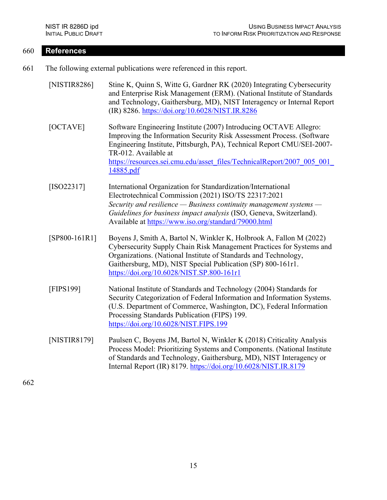#### <span id="page-22-1"></span>660 **References**

- <span id="page-22-3"></span><span id="page-22-2"></span><span id="page-22-0"></span>661 The following external publications were referenced in this report.
	- [NISTIR8286] Stine K, Quinn S, Witte G, Gardner RK (2020) Integrating Cybersecurity and Enterprise Risk Management (ERM). (National Institute of Standards and Technology, Gaithersburg, MD), NIST Interagency or Internal Report (IR) 8286.<https://doi.org/10.6028/NIST.IR.8286>
	- [OCTAVE] Software Engineering Institute (2007) Introducing OCTAVE Allegro: Improving the Information Security Risk Assessment Process. (Software Engineering Institute, Pittsburgh, PA), Technical Report CMU/SEI-2007- TR-012. Available at [https://resources.sei.cmu.edu/asset\\_files/TechnicalReport/2007\\_005\\_001\\_](https://resources.sei.cmu.edu/asset_files/TechnicalReport/2007_005_001_14885.pdf) [14885.pdf](https://resources.sei.cmu.edu/asset_files/TechnicalReport/2007_005_001_14885.pdf)
	- [ISO22317] International Organization for Standardization/International Electrotechnical Commission (2021) ISO/TS 22317:2021 *Security and resilience — Business continuity management systems — Guidelines for business impact analysis* (ISO, Geneva, Switzerland). Available at<https://www.iso.org/standard/79000.html>
	- [SP800-161R1] Boyens J, Smith A, Bartol N, Winkler K, Holbrook A, Fallon M (2022) Cybersecurity Supply Chain Risk Management Practices for Systems and Organizations. (National Institute of Standards and Technology, Gaithersburg, MD), NIST Special Publication (SP) 800-161r1. <https://doi.org/10.6028/NIST.SP.800-161r1>
	- [FIPS199] National Institute of Standards and Technology (2004) Standards for Security Categorization of Federal Information and Information Systems. (U.S. Department of Commerce, Washington, DC), Federal Information Processing Standards Publication (FIPS) 199. <https://doi.org/10.6028/NIST.FIPS.199>
	- [NISTIR8179] Paulsen C, Boyens JM, Bartol N, Winkler K (2018) Criticality Analysis Process Model: Prioritizing Systems and Components. (National Institute of Standards and Technology, Gaithersburg, MD), NIST Interagency or Internal Report (IR) 8179.<https://doi.org/10.6028/NIST.IR.8179>

<span id="page-22-6"></span><span id="page-22-5"></span><span id="page-22-4"></span>662